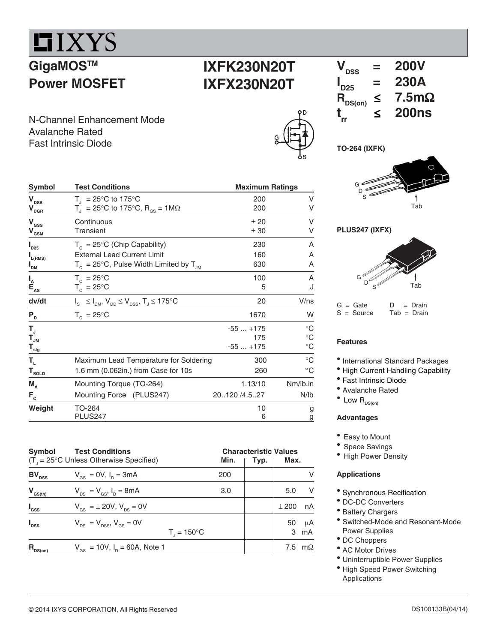

**Power MOSFET**

# **IXFK230N20T IXFX230N20T**

N-Channel Enhancement Mode Avalanche Rated Fast Intrinsic Diode

| ဌ | D<br>c |
|---|--------|
|   |        |

| Symbol                                                       | <b>Test Conditions</b>                                                  | <b>Maximum Ratings</b> |              |  |  |
|--------------------------------------------------------------|-------------------------------------------------------------------------|------------------------|--------------|--|--|
| $\mathbf{V}_{\texttt{DSS}}$                                  | $T_{1}$ = 25°C to 175°C                                                 | 200                    | V            |  |  |
| $V_{\text{DGR}}$                                             | $T_{\rm d}$ = 25°C to 175°C, R <sub>GS</sub> = 1MΩ                      | 200                    | V            |  |  |
| $\mathbf{V}_{\mathrm{GSS}}$                                  | Continuous                                                              | ±20                    | V            |  |  |
| $\mathbf{V}_{\mathbf{G}\underline{\mathbf{S}\underline{M}}}$ | <b>Transient</b>                                                        | ± 30                   | v            |  |  |
| $I_{D25}$                                                    | $T_c = 25^{\circ}C$ (Chip Capability)                                   | 230                    | A            |  |  |
| $I_{L(RMS)}$                                                 | <b>External Lead Current Limit</b>                                      | 160                    | A            |  |  |
| I <sub>DM</sub>                                              | $T_c = 25^{\circ}$ C, Pulse Width Limited by $T_{JM}$                   | 630                    | A            |  |  |
| $\begin{array}{c}\nI_A \\ E_{AS} \\ \hline\n\end{array}$     | $T_c = 25^{\circ}$ C                                                    | 100                    | A            |  |  |
|                                                              | $T_c = 25^{\circ}C$                                                     | 5                      | J            |  |  |
| dv/dt                                                        | $I_{s} \leq I_{DM}$ , $V_{DD} \leq V_{DSS}$ , $T_{J} \leq 175^{\circ}C$ | 20                     | V/ns         |  |  |
| $P_{D}$                                                      | $T_c = 25^{\circ}$ C                                                    | 1670                   | W            |  |  |
| T,                                                           |                                                                         | $-55+175$              | $^{\circ}C$  |  |  |
| $\mathbf{T}_{\mathsf{JM}}$                                   |                                                                         | 175                    | $^{\circ}C$  |  |  |
| $T_{\underline{\tiny sig}}$                                  |                                                                         | $-55+175$              | $^{\circ}C$  |  |  |
| Т,                                                           | Maximum Lead Temperature for Soldering                                  | 300                    | $^{\circ}$ C |  |  |
| $T_{\text{sOLD}}$                                            | 1.6 mm (0.062in.) from Case for 10s                                     | 260                    | $^{\circ}$ C |  |  |
| $M_{\rm A}$                                                  | Mounting Torque (TO-264)                                                | 1.13/10                | Nm/lb.in     |  |  |
| $F_c$                                                        | Mounting Force (PLUS247)                                                | 20120 /4.527           | N/lb         |  |  |
| Weight                                                       | TO-264                                                                  | 10                     | g            |  |  |
|                                                              | <b>PLUS247</b>                                                          | 6                      | g            |  |  |

| Symbol           | <b>Test Conditions</b>                                    |                        | <b>Characteristic Values</b> |         |           |
|------------------|-----------------------------------------------------------|------------------------|------------------------------|---------|-----------|
|                  | $(T_{\text{I}} = 25^{\circ}C$ Unless Otherwise Specified) | Min.                   | Typ.                         | Max.    |           |
| $BV_{\rm DSS}$   | $V_{\text{gs}} = 0V, I_{\text{p}} = 3mA$                  | 200                    |                              |         | v         |
| $V_{GS(th)}$     | $V_{DS} = V_{GS}$ , $I_D = 8mA$                           | 3.0                    |                              | 5.0     | V         |
| $I_{\rm dss}$    | $V_{\text{es}} = \pm 20 V, V_{\text{es}} = 0V$            |                        |                              | $+200$  | nA        |
| $I_{\text{DSS}}$ | $V_{DS} = V_{DSS}$ , $V_{GS} = 0V$                        | $T_{1} = 150^{\circ}C$ |                              | 50<br>3 | μA<br>mA  |
| $R_{nS(0n)}$     | $V_{GS}$ = 10V, $I_D$ = 60A, Note 1                       |                        |                              | 7.5     | $m\Omega$ |



**TO-264 (IXFK)**





## **Features**

• International Standard Packages

 $Tab = Drain$ 

- High Current Handling Capability
- Fast Intrinsic Diode
- Avalanche Rated
- $\bullet$  Low  $R_{DS(on)}$

## **Advantages**

- Easy to Mount
- Space Savings
- High Power Density

## **Applications**

- Synchronous Recification
- DC-DC Converters
- Battery Chargers
- Switched-Mode and Resonant-Mode Power Supplies
- DC Choppers
- AC Motor Drives
- Uninterruptible Power Supplies
- High Speed Power Switching Applications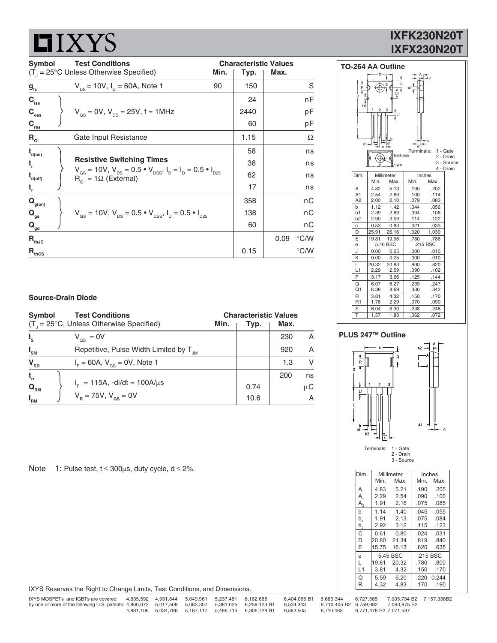# **LIXYS**

# **IXFK230N20T IXFX230N20T**

| <b>Test Conditions</b><br>Symbol        |  | <b>Characteristic Values</b>                                                                                                                                       |                      |      |      |               |
|-----------------------------------------|--|--------------------------------------------------------------------------------------------------------------------------------------------------------------------|----------------------|------|------|---------------|
|                                         |  | $(T_{\text{I}} = 25^{\circ} \text{C}$ Unless Otherwise Specified)                                                                                                  | Max.<br>Min.<br>Typ. |      |      |               |
| $g_{\rm fs}$                            |  | $V_{\text{ps}}$ = 10V, $I_{\text{p}}$ = 60A, Note 1                                                                                                                | 90                   | 150  |      | S             |
| $C_{\text{iss}}$                        |  |                                                                                                                                                                    |                      | 24   |      | nF            |
| $C_{\rm{oss}}$                          |  | $V_{\text{gs}} = 0V$ , $V_{\text{ps}} = 25V$ , f = 1MHz                                                                                                            |                      | 2440 |      | pF            |
| $C_{rss}$                               |  |                                                                                                                                                                    |                      | 60   |      | pF            |
| $R_{\rm gi}$                            |  | Gate Input Resistance                                                                                                                                              |                      | 1.15 |      | Ω             |
| $t_{\text{\tiny d(0n)}}$                |  |                                                                                                                                                                    |                      | 58   |      | ns            |
| t,                                      |  | <b>Resistive Switching Times</b>                                                                                                                                   |                      | 38   |      | ns            |
| $\mathbf{t}_{\mathsf{d}(\mathsf{off})}$ |  | $V_{\text{gs}} = 10V$ , $V_{\text{ps}} = 0.5 \cdot V_{\text{pss}}$ , $I_{\text{p}} = I_{\text{p}} = 0.5 \cdot I_{\text{pss}}$<br>$R_{\alpha} = 1\Omega$ (External) |                      | 62   |      | ns            |
| $t_{f}$                                 |  |                                                                                                                                                                    |                      | 17   |      | ns            |
| $\mathbf{Q}_{\text{g(on)}}$             |  |                                                                                                                                                                    |                      | 358  |      | nС            |
| $Q_{gs}$                                |  | $V_{\text{gs}} = 10V$ , $V_{\text{ps}} = 0.5 \cdot V_{\text{pss}}$ , $I_{\text{p}} = 0.5 \cdot I_{\text{pss}}$                                                     |                      | 138  |      | nС            |
| $\mathbf{Q}_{\mathsf{gd}}$              |  |                                                                                                                                                                    |                      | 60   |      | nС            |
| $R_{thJC}$                              |  |                                                                                                                                                                    |                      |      | 0.09 | $\degree$ C/W |
| $R_{\text{thCS}}$                       |  |                                                                                                                                                                    |                      | 0.15 |      | $\degree$ C/W |

#### **TO-264 AA Outline** $\frac{A}{A^{4}}$  $\overline{\circ}$  $\widehat{\oplus}$  $\frac{1}{01}$  $b1$  $\frac{-b2}{e}$ |<br>A1 Terminals: 1 - Gate<br>2 - Drain Back side ⇎ ୍ବ 3 - Source .<br>A D 4 - Drain Dim. Millimeter Inches<br>Ain. Max. Min. Max Min. A 4.82 5.13 .190 .202<br>A1 2.54 2.89 .100 .114<br>A2 2.00 2.10 .079 .083 114 2.54 2.89 .100 .114<br>2.00 2.10 .079 .083  $2.00$ b 1.12 1.42 .044 .056<br>
b1 2.39 2.69 .094 .106<br>
b2 2.90 3.09 .114 .122 b1 2.39 2.69 .094 .106  $\frac{2.90}{0.53}$  .1.09 c 0.53 0.83 .021 .033<br>D 25.91 26.16 1.020 1.030 D 25.91 26.16<br>E 19.81 19.96 19.81 19.96 .780 .786<br>5.46 BSC .215 BSC e  $5.46$  BSC J 0.00 0.25 .000 .010 K 0.00 0.25 .000 .010<br>
L 20.32 20.83 .800 .820<br>
L1 2.29 2.59 .090 .102 20.32 20.83 .800 .820<br>2.29 2.59 .090 .102  $\frac{11}{P}$  2.29 P 3.17 3.66 .125 .144<br>Q 6.07 6.27 .239 .247 0.4 6.07 6.27 .239 .247<br>0.1 8.38 8.69 .330 .342<br>R 3.81 4.32 .150 .170 13.38 8.69 .330 .342<br>3.81 4.32 .150 .170 R 3.81 4.32 .150 .170<br>R1 1.78 2.29 .070 .090 1.78 2.29 .070 .090<br>6.04 6.30 .238 .248  $\begin{array}{|c|c|c|c|}\n\hline\nS & 6.04 & 6.30 \\
\hline\nT & 1.57 & 1.83 \\
\hline\n\end{array}$ T 1.57 1.83 .062 .072

## **Source-Drain Diode**

| Symbol                        | <b>Test Conditions</b>                             | <b>Characteristic Values</b> |      |      |          |  |  |
|-------------------------------|----------------------------------------------------|------------------------------|------|------|----------|--|--|
|                               | $(T1 = 25°C, Unless Otherwise Specifically)$       | Min.                         | Typ. | Max. |          |  |  |
| $I_{s}$                       | $V_{\text{gs}} = 0V$                               |                              |      | 230  | A        |  |  |
| $I_{\text{SM}}$               | Repetitive, Pulse Width Limited by T <sub>IM</sub> |                              |      | 920  | A        |  |  |
| $\mathbf{V}_{\text{SD}}$      | $I_{F} = 60A, V_{gs} = 0V, Note 1$                 |                              |      | 1.3  | <b>V</b> |  |  |
| $t_{rr}$                      |                                                    |                              |      | 200  | ns       |  |  |
| $\mathbf{Q}_{_{\mathsf{RM}}}$ | $I_{E}$ = 115A, -di/dt = 100A/ $\mu$ s             |                              | 0.74 |      | $\mu$ C  |  |  |
| $I_{\rm RM}$                  | $V_B = 75V$ , $V_{gs} = 0V$                        |                              | 10.6 |      | A        |  |  |

Note 1: Pulse test,  $t \le 300 \mu s$ , duty cycle,  $d \le 2\%$ .



| Dim.           |       | Millimeter |      | Inches   |
|----------------|-------|------------|------|----------|
|                | Min.  | Max.       | Min. | Max.     |
| Α              | 4.83  | 5.21       | .190 | .205     |
| Α,             | 2.29  | 2.54       | .090 | .100     |
| A <sub>2</sub> | 1.91  | 2.16       | .075 | .085     |
| b              | 1.14  | 1.40       | .045 | .055     |
| b,             | 1.91  | 2.13       | .075 | .084     |
| $b^{2}$        | 2.92  | 3.12       | .115 | .123     |
| C              | 0.61  | 0.80       | .024 | .031     |
| D              | 20.80 | 21.34      | .819 | .840     |
| E              | 15.75 | 16.13      | .620 | .635     |
| e              |       | 5.45 BSC   |      | .215 BSC |
| L              | 19.81 | 20.32      | .780 | .800     |
| L1             | 3.81  | 4.32       | .150 | .170     |
| Q              | 5.59  | 6.20       | .220 | 0.244    |
| R              | 4.32  | 4.83       | .170 | .190     |

IXYS Reserves the Right to Change Limits, Test Conditions, and Dimensions.

| IXYS MOSFETs and IGBTs are covered                                                                           |  | 4.835.592  4.931.844  5.049.961  5.237.481  6.162.665 |                                                                      | 6.404.065 B1 6.683.344 |                                  | 6.727.585 7.005.734 B2 7.157.338B2  |  |
|--------------------------------------------------------------------------------------------------------------|--|-------------------------------------------------------|----------------------------------------------------------------------|------------------------|----------------------------------|-------------------------------------|--|
| by one or more of the following U.S. patents: 4,860,072 5,017,508 5,063,307 5,381,025 6,259,123 B1 6,534,343 |  |                                                       |                                                                      |                        |                                  | 6.710.405 B2 6.759.692 7.063.975 B2 |  |
|                                                                                                              |  |                                                       | 4.881.106  5.034.796  5.187.117  5.486.715  6.306.728  B1  6.583.505 |                        | 6.710.463 6.771.478 B2 7.071.537 |                                     |  |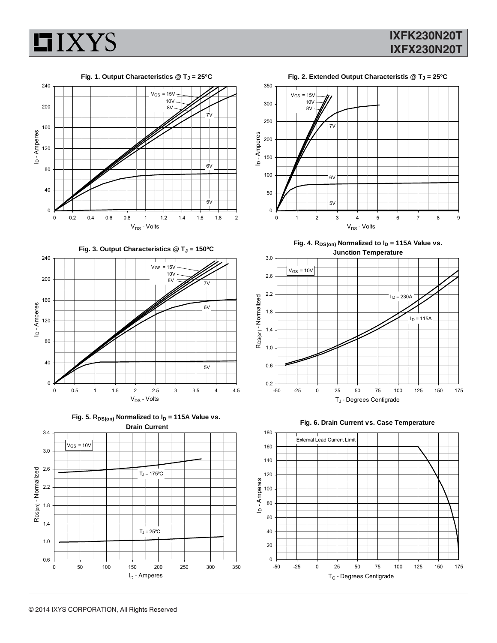

# **IXFK230N20T IXFX230N20T**



Fig. 3. Output Characteristics @ T<sub>J</sub> = 150°C







**Fig. 2. Extended Output Characteristis @ TJ = 25ºC**



Fig. 4.  $R_{DS(on)}$  Normalized to  $I_D = 115A$  Value vs. **Junction Temperature**





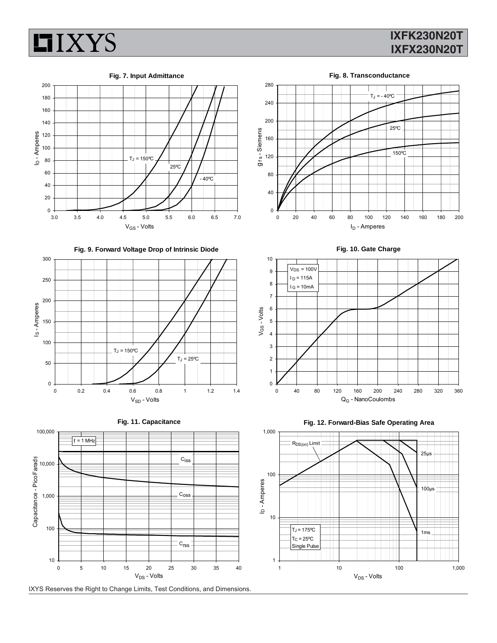

# **IXFK230N20T IXFX230N20T**





**Fig. 9. Forward Voltage Drop of Intrinsic Diode**









**Fig. 10. Gate Charge**



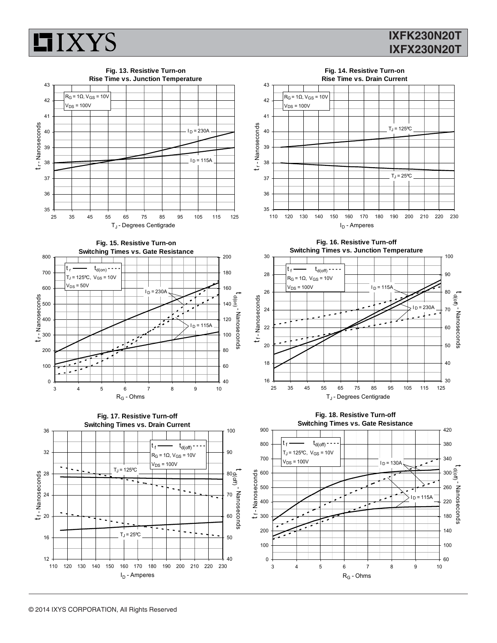

# **IXFK230N20T IXFX230N20T**

t d(off) - Nanoseconds

d(off) - Nanoseconds

t d(off) - Nanoseconds

- Nanoseconds

d(off)